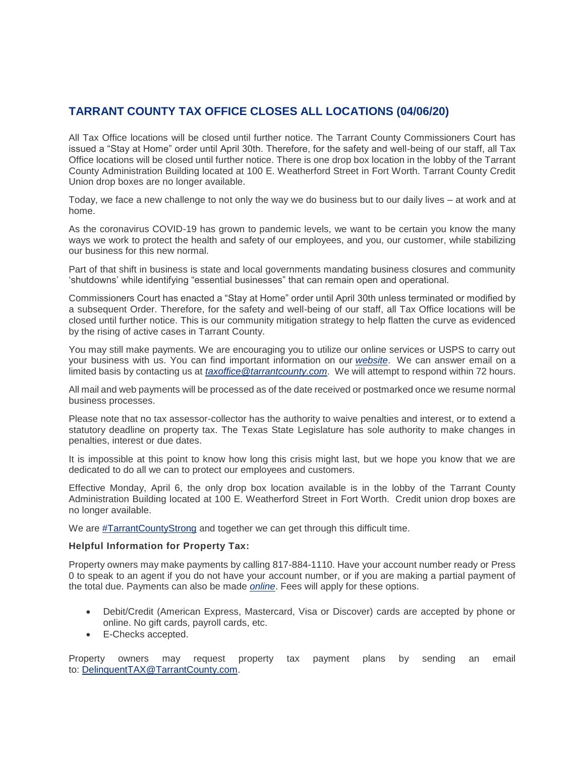## **TARRANT COUNTY TAX OFFICE CLOSES ALL LOCATIONS (04/06/20)**

All Tax Office locations will be closed until further notice. The Tarrant County Commissioners Court has issued a "Stay at Home" order until April 30th. Therefore, for the safety and well-being of our staff, all Tax Office locations will be closed until further notice. There is one drop box location in the lobby of the Tarrant County Administration Building located at 100 E. Weatherford Street in Fort Worth. Tarrant County Credit Union drop boxes are no longer available.

Today, we face a new challenge to not only the way we do business but to our daily lives – at work and at home.

As the coronavirus COVID-19 has grown to pandemic levels, we want to be certain you know the many ways we work to protect the health and safety of our employees, and you, our customer, while stabilizing our business for this new normal.

Part of that shift in business is state and local governments mandating business closures and community 'shutdowns' while identifying "essential businesses" that can remain open and operational.

Commissioners Court has enacted a "Stay at Home" order until April 30th unless terminated or modified by a subsequent Order. Therefore, for the safety and well-being of our staff, all Tax Office locations will be closed until further notice. This is our community mitigation strategy to help flatten the curve as evidenced by the rising of active cases in Tarrant County.

You may still make payments. We are encouraging you to utilize our online services or USPS to carry out your business with us. You can find important information on our *[website](https://www.tarrantcounty.com/en/tax.html)*. We can answer email on a limited basis by contacting us at *[taxoffice@tarrantcounty.com](mailto:taxoffice@tarrantcounty.com)*. We will attempt to respond within 72 hours.

All mail and web payments will be processed as of the date received or postmarked once we resume normal business processes.

Please note that no tax assessor-collector has the authority to waive penalties and interest, or to extend a statutory deadline on property tax. The Texas State Legislature has sole authority to make changes in penalties, interest or due dates.

It is impossible at this point to know how long this crisis might last, but we hope you know that we are dedicated to do all we can to protect our employees and customers.

Effective Monday, April 6, the only drop box location available is in the lobby of the Tarrant County Administration Building located at 100 E. Weatherford Street in Fort Worth. Credit union drop boxes are no longer available.

We are [#TarrantCountyStrong](https://www.facebook.com/hashtag/tarrantcountystrong?source=feed_text&epa=HASHTAG&__xts__%5B0%5D=68.ARD8U9qjuV25a4H6Db-NtbXjd-dog2Oy8LEFy0-UwtpgYcl7cS2DqQvG4oFXDQnY74g8d0k6S1AfEkBmtp-9mfFc5q-o1jNeSvcwvtkWTeyK2BcXJalgrOVwfq4699uOyLZn2ejiZU-euRsuk-YYLR5lcR4mSy970j65ECZYFaeUJRWR5K4X3ktRu0MTfTSDwwHNKHC6ycMr8f57myIVy7PwNErFrH0Y9sEjyJzcL9dzXhhYd9SZ6mWrtQuJMs6Lw4NNjMyx55cnTSGJMXdGT1eC1FEZagsj3E103hwNMXhsHA7Qik7ebE5WMfPP-RSodTj9DBhr2LeXj5Nm6tUE8eBv9A&__tn__=%2ANK-R) and together we can get through this difficult time.

## **Helpful Information for Property Tax:**

Property owners may make payments by calling 817-884-1110. Have your account number ready or Press 0 to speak to an agent if you do not have your account number, or if you are making a partial payment of the total due. Payments can also be made *[online](https://www.tarrantcounty.com/en/tax/property-tax/pay-my-county-taxes.html)*. Fees will apply for these options.

- Debit/Credit (American Express, Mastercard, Visa or Discover) cards are accepted by phone or online. No gift cards, payroll cards, etc.
- E-Checks accepted.

Property owners may request property tax payment plans by sending an email to: [DelinquentTAX@TarrantCounty.com.](mailto:DelinquentTAX@TarrantCounty.com)